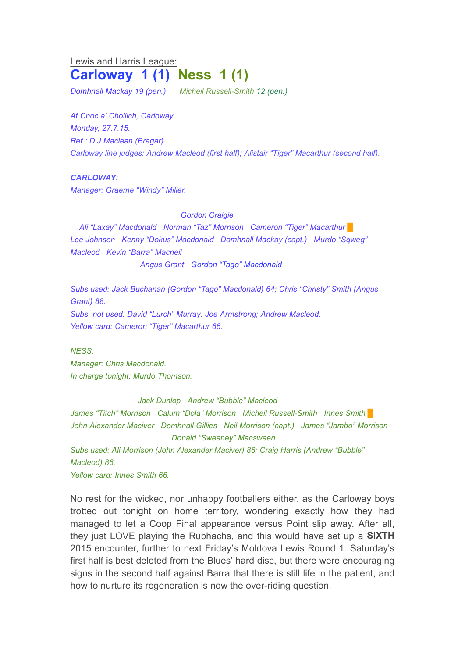## Lewis and Harris League: **Carloway 1 (1) Ness 1 (1)**

*Domhnall Mackay 19 (pen.) Micheil Russell-Smith 12 (pen.)*

*At Cnoc a' Choilich, Carloway. Monday, 27.7.15. Ref.: D.J.Maclean (Bragar). Carloway line judges: Andrew Macleod (first half); Alistair "Tiger" Macarthur (second half).*

## *CARLOWAY:*

*Manager: Graeme "Windy" Miller.*

*Gordon Craigie*

*Ali "Laxay" Macdonald Norman "Taz" Morrison Cameron "Tiger" Macarthur* █ *Lee Johnson Kenny "Dokus" Macdonald Domhnall Mackay (capt.) Murdo "Sqweg" Macleod Kevin "Barra" Macneil*

*Angus Grant Gordon "Tago" Macdonald*

*Subs.used: Jack Buchanan (Gordon "Tago" Macdonald) 64; Chris "Christy" Smith (Angus Grant) 88. Subs. not used: David "Lurch" Murray: Joe Armstrong; Andrew Macleod. Yellow card: Cameron "Tiger" Macarthur 66.*

*NESS.*

*Manager: Chris Macdonald. In charge tonight: Murdo Thomson.*

*Jack Dunlop Andrew "Bubble" Macleod*

*James "Titch" Morrison Calum "Dola" Morrison Micheil Russell-Smith Innes Smith* █ *John Alexander Maciver Domhnall Gillies Neil Morrison (capt.) James "Jambo" Morrison Donald "Sweeney" Macsween*

*Subs.used: Ali Morrison (John Alexander Maciver) 86; Craig Harris (Andrew "Bubble" Macleod) 86.*

*Yellow card: Innes Smith 66.*

No rest for the wicked, nor unhappy footballers either, as the Carloway boys trotted out tonight on home territory, wondering exactly how they had managed to let a Coop Final appearance versus Point slip away. After all, they just LOVE playing the Rubhachs, and this would have set up a **SIXTH** 2015 encounter, further to next Friday's Moldova Lewis Round 1. Saturday's first half is best deleted from the Blues' hard disc, but there were encouraging signs in the second half against Barra that there is still life in the patient, and how to nurture its regeneration is now the over-riding question.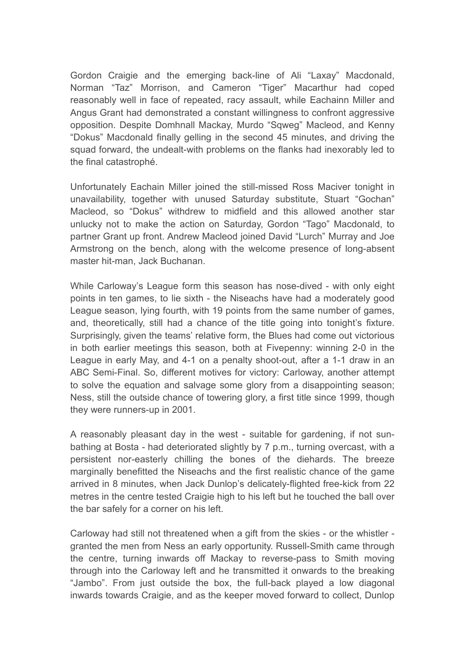Gordon Craigie and the emerging back-line of Ali "Laxay" Macdonald, Norman "Taz" Morrison, and Cameron "Tiger" Macarthur had coped reasonably well in face of repeated, racy assault, while Eachainn Miller and Angus Grant had demonstrated a constant willingness to confront aggressive opposition. Despite Domhnall Mackay, Murdo "Sqweg" Macleod, and Kenny "Dokus" Macdonald finally gelling in the second 45 minutes, and driving the squad forward, the undealt-with problems on the flanks had inexorably led to the final catastrophé.

Unfortunately Eachain Miller joined the still-missed Ross Maciver tonight in unavailability, together with unused Saturday substitute, Stuart "Gochan" Macleod, so "Dokus" withdrew to midfield and this allowed another star unlucky not to make the action on Saturday, Gordon "Tago" Macdonald, to partner Grant up front. Andrew Macleod joined David "Lurch" Murray and Joe Armstrong on the bench, along with the welcome presence of long-absent master hit-man, Jack Buchanan.

While Carloway's League form this season has nose-dived - with only eight points in ten games, to lie sixth - the Niseachs have had a moderately good League season, lying fourth, with 19 points from the same number of games, and, theoretically, still had a chance of the title going into tonight's fixture. Surprisingly, given the teams' relative form, the Blues had come out victorious in both earlier meetings this season, both at Fivepenny: winning 2-0 in the League in early May, and 4-1 on a penalty shoot-out, after a 1-1 draw in an ABC Semi-Final. So, different motives for victory: Carloway, another attempt to solve the equation and salvage some glory from a disappointing season; Ness, still the outside chance of towering glory, a first title since 1999, though they were runners-up in 2001.

A reasonably pleasant day in the west - suitable for gardening, if not sunbathing at Bosta - had deteriorated slightly by 7 p.m., turning overcast, with a persistent nor-easterly chilling the bones of the diehards. The breeze marginally benefitted the Niseachs and the first realistic chance of the game arrived in 8 minutes, when Jack Dunlop's delicately-flighted free-kick from 22 metres in the centre tested Craigie high to his left but he touched the ball over the bar safely for a corner on his left.

Carloway had still not threatened when a gift from the skies - or the whistler granted the men from Ness an early opportunity. Russell-Smith came through the centre, turning inwards off Mackay to reverse-pass to Smith moving through into the Carloway left and he transmitted it onwards to the breaking "Jambo". From just outside the box, the full-back played a low diagonal inwards towards Craigie, and as the keeper moved forward to collect, Dunlop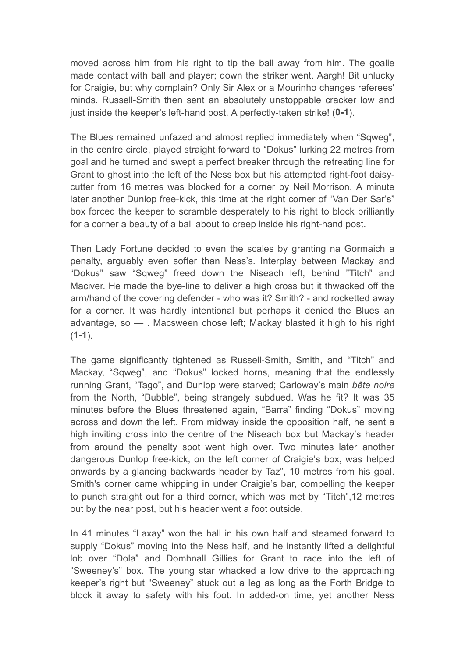moved across him from his right to tip the ball away from him. The goalie made contact with ball and player; down the striker went. Aargh! Bit unlucky for Craigie, but why complain? Only Sir Alex or a Mourinho changes referees' minds. Russell-Smith then sent an absolutely unstoppable cracker low and just inside the keeper's left-hand post. A perfectly-taken strike! (**0-1**).

The Blues remained unfazed and almost replied immediately when "Sqweg", in the centre circle, played straight forward to "Dokus" lurking 22 metres from goal and he turned and swept a perfect breaker through the retreating line for Grant to ghost into the left of the Ness box but his attempted right-foot daisycutter from 16 metres was blocked for a corner by Neil Morrison. A minute later another Dunlop free-kick, this time at the right corner of "Van Der Sar's" box forced the keeper to scramble desperately to his right to block brilliantly for a corner a beauty of a ball about to creep inside his right-hand post.

Then Lady Fortune decided to even the scales by granting na Gormaich a penalty, arguably even softer than Ness's. Interplay between Mackay and "Dokus" saw "Sqweg" freed down the Niseach left, behind "Titch" and Maciver. He made the bye-line to deliver a high cross but it thwacked off the arm/hand of the covering defender - who was it? Smith? - and rocketted away for a corner. It was hardly intentional but perhaps it denied the Blues an advantage, so — . Macsween chose left; Mackay blasted it high to his right (**1-1**).

The game significantly tightened as Russell-Smith, Smith, and "Titch" and Mackay, "Sqweg", and "Dokus" locked horns, meaning that the endlessly running Grant, "Tago", and Dunlop were starved; Carloway's main *bête noire* from the North, "Bubble", being strangely subdued. Was he fit? It was 35 minutes before the Blues threatened again, "Barra" finding "Dokus" moving across and down the left. From midway inside the opposition half, he sent a high inviting cross into the centre of the Niseach box but Mackay's header from around the penalty spot went high over. Two minutes later another dangerous Dunlop free-kick, on the left corner of Craigie's box, was helped onwards by a glancing backwards header by Taz", 10 metres from his goal. Smith's corner came whipping in under Craigie's bar, compelling the keeper to punch straight out for a third corner, which was met by "Titch",12 metres out by the near post, but his header went a foot outside.

In 41 minutes "Laxay" won the ball in his own half and steamed forward to supply "Dokus" moving into the Ness half, and he instantly lifted a delightful lob over "Dola" and Domhnall Gillies for Grant to race into the left of "Sweeney's" box. The young star whacked a low drive to the approaching keeper's right but "Sweeney" stuck out a leg as long as the Forth Bridge to block it away to safety with his foot. In added-on time, yet another Ness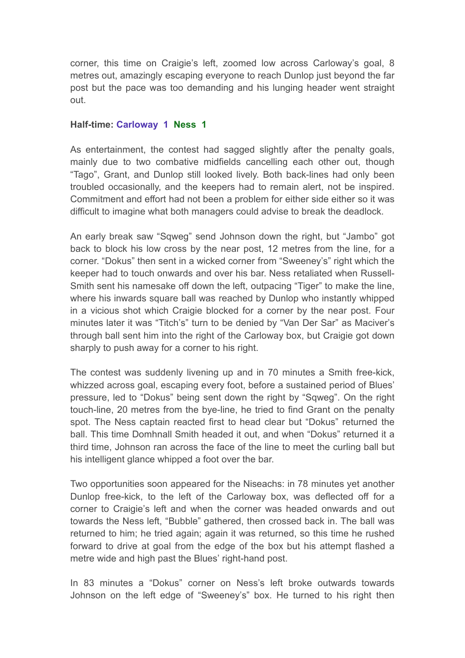corner, this time on Craigie's left, zoomed low across Carloway's goal, 8 metres out, amazingly escaping everyone to reach Dunlop just beyond the far post but the pace was too demanding and his lunging header went straight out.

## **Half-time: Carloway 1 Ness 1**

As entertainment, the contest had sagged slightly after the penalty goals, mainly due to two combative midfields cancelling each other out, though "Tago", Grant, and Dunlop still looked lively. Both back-lines had only been troubled occasionally, and the keepers had to remain alert, not be inspired. Commitment and effort had not been a problem for either side either so it was difficult to imagine what both managers could advise to break the deadlock.

An early break saw "Sqweg" send Johnson down the right, but "Jambo" got back to block his low cross by the near post, 12 metres from the line, for a corner. "Dokus" then sent in a wicked corner from "Sweeney's" right which the keeper had to touch onwards and over his bar. Ness retaliated when Russell-Smith sent his namesake off down the left, outpacing "Tiger" to make the line, where his inwards square ball was reached by Dunlop who instantly whipped in a vicious shot which Craigie blocked for a corner by the near post. Four minutes later it was "Titch's" turn to be denied by "Van Der Sar" as Maciver's through ball sent him into the right of the Carloway box, but Craigie got down sharply to push away for a corner to his right.

The contest was suddenly livening up and in 70 minutes a Smith free-kick, whizzed across goal, escaping every foot, before a sustained period of Blues' pressure, led to "Dokus" being sent down the right by "Sqweg". On the right touch-line, 20 metres from the bye-line, he tried to find Grant on the penalty spot. The Ness captain reacted first to head clear but "Dokus" returned the ball. This time Domhnall Smith headed it out, and when "Dokus" returned it a third time, Johnson ran across the face of the line to meet the curling ball but his intelligent glance whipped a foot over the bar.

Two opportunities soon appeared for the Niseachs: in 78 minutes yet another Dunlop free-kick, to the left of the Carloway box, was deflected off for a corner to Craigie's left and when the corner was headed onwards and out towards the Ness left, "Bubble" gathered, then crossed back in. The ball was returned to him; he tried again; again it was returned, so this time he rushed forward to drive at goal from the edge of the box but his attempt flashed a metre wide and high past the Blues' right-hand post.

In 83 minutes a "Dokus" corner on Ness's left broke outwards towards Johnson on the left edge of "Sweeney's" box. He turned to his right then